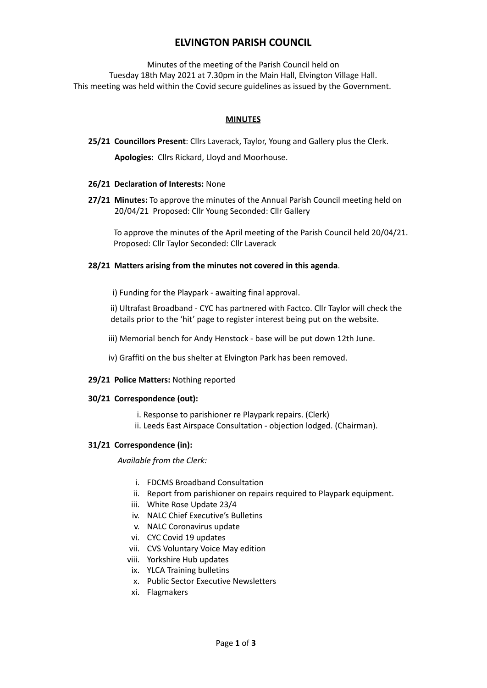# **ELVINGTON PARISH COUNCIL**

Minutes of the meeting of the Parish Council held on Tuesday 18th May 2021 at 7.30pm in the Main Hall, Elvington Village Hall. This meeting was held within the Covid secure guidelines as issued by the Government.

# **MINUTES**

**25/21 Councillors Present**: Cllrs Laverack, Taylor, Young and Gallery plus the Clerk.

**Apologies:** Cllrs Rickard, Lloyd and Moorhouse.

# **26/21 Declaration of Interests:** None

**27/21 Minutes:** To approve the minutes of the Annual Parish Council meeting held on 20/04/21 Proposed: Cllr Young Seconded: Cllr Gallery

To approve the minutes of the April meeting of the Parish Council held 20/04/21. Proposed: Cllr Taylor Seconded: Cllr Laverack

# **28/21 Matters arising from the minutes not covered in this agenda**.

i) Funding for the Playpark - awaiting final approval.

ii) Ultrafast Broadband - CYC has partnered with Factco. Cllr Taylor will check the details prior to the 'hit' page to register interest being put on the website.

iii) Memorial bench for Andy Henstock - base will be put down 12th June.

iv) Graffiti on the bus shelter at Elvington Park has been removed.

## **29/21 Police Matters:** Nothing reported

## **30/21 Correspondence (out):**

- i. Response to parishioner re Playpark repairs. (Clerk)
- ii. Leeds East Airspace Consultation objection lodged. (Chairman).

## **31/21 Correspondence (in):**

*Available from the Clerk:*

- i. FDCMS Broadband Consultation
- ii. Report from parishioner on repairs required to Playpark equipment.
- iii. White Rose Update 23/4
- iv. NALC Chief Executive's Bulletins
- v. NALC Coronavirus update
- vi. CYC Covid 19 updates
- vii. CVS Voluntary Voice May edition
- viii. Yorkshire Hub updates
- ix. YLCA Training bulletins
- x. Public Sector Executive Newsletters
- xi. Flagmakers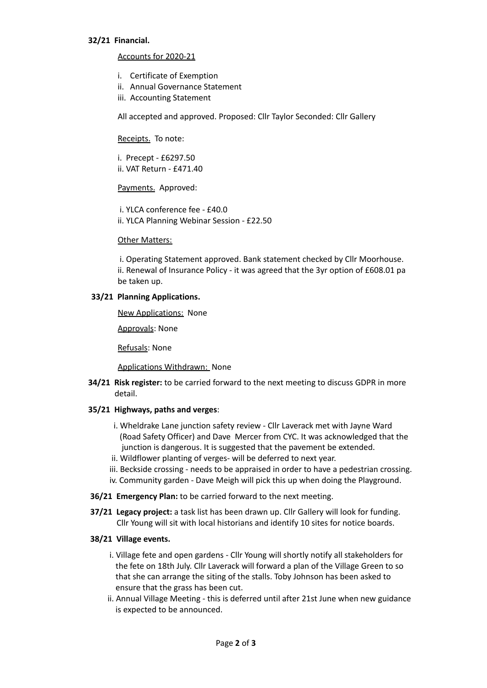## **32/21 Financial.**

## Accounts for 2020-21

- i. Certificate of Exemption
- ii. Annual Governance Statement
- iii. Accounting Statement

All accepted and approved. Proposed: Cllr Taylor Seconded: Cllr Gallery

## Receipts. To note:

i. Precept - £6297.50 ii. VAT Return - £471.40

# Payments. Approved:

i. YLCA conference fee - £40.0 ii. YLCA Planning Webinar Session - £22.50

## Other Matters:

i. Operating Statement approved. Bank statement checked by Cllr Moorhouse. ii. Renewal of Insurance Policy - it was agreed that the 3yr option of £608.01 pa be taken up.

## **33/21 Planning Applications.**

New Applications: None

Approvals: None

Refusals: None

## Applications Withdrawn: None

**34/21 Risk register:** to be carried forward to the next meeting to discuss GDPR in more detail.

## **35/21 Highways, paths and verges**:

- i. Wheldrake Lane junction safety review Cllr Laverack met with Jayne Ward (Road Safety Officer) and Dave Mercer from CYC. It was acknowledged that the junction is dangerous. It is suggested that the pavement be extended.
- ii. Wildflower planting of verges- will be deferred to next year.
- iii. Beckside crossing needs to be appraised in order to have a pedestrian crossing.
- iv. Community garden Dave Meigh will pick this up when doing the Playground.
- **36/21 Emergency Plan:** to be carried forward to the next meeting.
- **37/21 Legacy project:** a task list has been drawn up. Cllr Gallery will look for funding. Cllr Young will sit with local historians and identify 10 sites for notice boards.

## **38/21 Village events.**

- i. Village fete and open gardens Cllr Young will shortly notify all stakeholders for the fete on 18th July. Cllr Laverack will forward a plan of the Village Green to so that she can arrange the siting of the stalls. Toby Johnson has been asked to ensure that the grass has been cut.
- ii. Annual Village Meeting this is deferred until after 21st June when new guidance is expected to be announced.